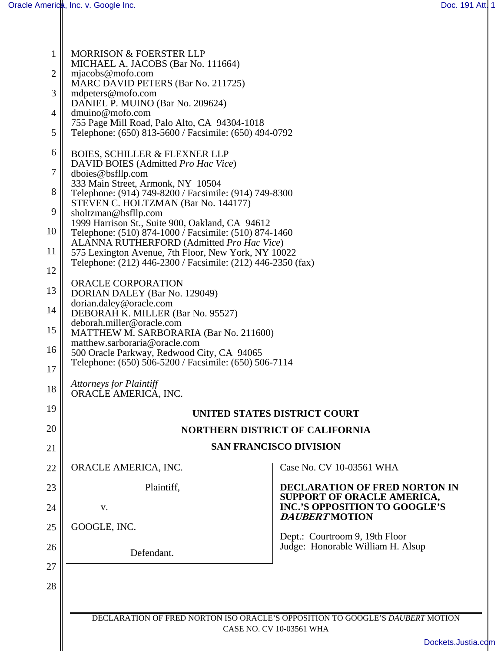| 1<br>$\overline{2}$<br>3 | <b>MORRISON &amp; FOERSTER LLP</b><br>MICHAEL A. JACOBS (Bar No. 111664)<br>mjacobs@mofo.com<br>MARC DAVID PETERS (Bar No. 211725)<br>mdpeters@mofo.com<br>DANIEL P. MUINO (Bar No. 209624) |                                                                               |  |
|--------------------------|---------------------------------------------------------------------------------------------------------------------------------------------------------------------------------------------|-------------------------------------------------------------------------------|--|
| 4                        | dmuino@mofo.com                                                                                                                                                                             |                                                                               |  |
| 5                        | 755 Page Mill Road, Palo Alto, CA 94304-1018<br>Telephone: (650) 813-5600 / Facsimile: (650) 494-0792                                                                                       |                                                                               |  |
| 6                        | <b>BOIES, SCHILLER &amp; FLEXNER LLP</b><br>DAVID BOIES (Admitted Pro Hac Vice)                                                                                                             |                                                                               |  |
| $\overline{7}$           | dboies@bsfllp.com<br>333 Main Street, Armonk, NY 10504                                                                                                                                      |                                                                               |  |
| 8                        | Telephone: (914) 749-8200 / Facsimile: (914) 749-8300<br>STEVEN C. HOLTZMAN (Bar No. 144177)                                                                                                |                                                                               |  |
| 9                        | sholtzman@bsfllp.com<br>1999 Harrison St., Suite 900, Oakland, CA 94612                                                                                                                     |                                                                               |  |
| 10                       | Telephone: (510) 874-1000 / Facsimile: (510) 874-1460<br>ALANNA RUTHERFORD (Admitted Pro Hac Vice)                                                                                          |                                                                               |  |
| 11                       | 575 Lexington Avenue, 7th Floor, New York, NY 10022<br>Telephone: (212) 446-2300 / Facsimile: (212) 446-2350 (fax)                                                                          |                                                                               |  |
| 12                       |                                                                                                                                                                                             |                                                                               |  |
| 13                       | ORACLE CORPORATION<br>DORIAN DALEY (Bar No. 129049)                                                                                                                                         |                                                                               |  |
| 14                       | dorian.daley@oracle.com<br>DEBORAH K. MILLER (Bar No. 95527)                                                                                                                                |                                                                               |  |
| 15                       | deborah.miller@oracle.com<br>MATTHEW M. SARBORARIA (Bar No. 211600)                                                                                                                         |                                                                               |  |
| 16                       | matthew.sarboraria@oracle.com<br>500 Oracle Parkway, Redwood City, CA 94065<br>Telephone: (650) 506-5200 / Facsimile: (650) 506-7114                                                        |                                                                               |  |
| 17                       |                                                                                                                                                                                             |                                                                               |  |
| 18                       | <b>Attorneys for Plaintiff</b><br>ORACLE AMERICA, INC.                                                                                                                                      |                                                                               |  |
| 19                       |                                                                                                                                                                                             | <b>UNITED STATES DISTRICT COURT</b>                                           |  |
| 20                       |                                                                                                                                                                                             | <b>NORTHERN DISTRICT OF CALIFORNIA</b>                                        |  |
| 21                       |                                                                                                                                                                                             | <b>SAN FRANCISCO DIVISION</b>                                                 |  |
| 22                       | ORACLE AMERICA, INC.                                                                                                                                                                        | Case No. CV 10-03561 WHA                                                      |  |
| 23                       | Plaintiff,                                                                                                                                                                                  | <b>DECLARATION OF FRED NORTON IN</b><br>SUPPORT OF ORACLE AMERICA,            |  |
| 24                       | V.                                                                                                                                                                                          | <b>INC.'S OPPOSITION TO GOOGLE'S</b><br><b>DAUBERT MOTION</b>                 |  |
| 25                       | GOOGLE, INC.                                                                                                                                                                                | Dept.: Courtroom 9, 19th Floor                                                |  |
| 26                       | Defendant.                                                                                                                                                                                  | Judge: Honorable William H. Alsup                                             |  |
| 27                       |                                                                                                                                                                                             |                                                                               |  |
| 28                       |                                                                                                                                                                                             |                                                                               |  |
|                          |                                                                                                                                                                                             |                                                                               |  |
|                          |                                                                                                                                                                                             | DECLARATION OF FRED NORTON ISO ORACLE'S OPPOSITION TO GOOGLE'S DAUBERT MOTION |  |
|                          | CASE NO. CV 10-03561 WHA                                                                                                                                                                    |                                                                               |  |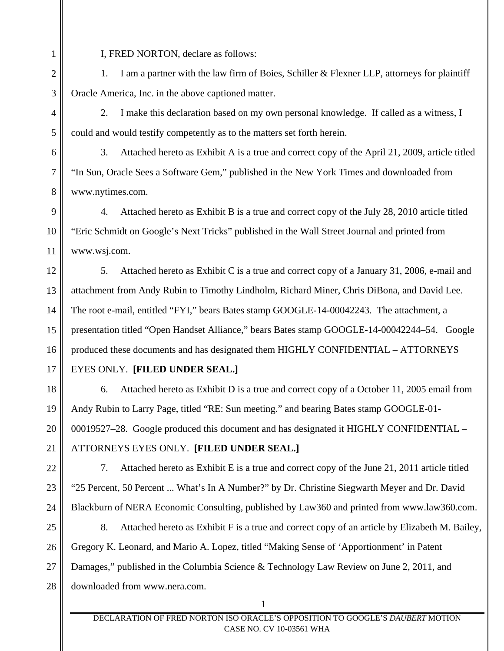I, FRED NORTON, declare as follows:

1. I am a partner with the law firm of Boies, Schiller & Flexner LLP, attorneys for plaintiff Oracle America, Inc. in the above captioned matter.

2. I make this declaration based on my own personal knowledge. If called as a witness, I could and would testify competently as to the matters set forth herein.

3. Attached hereto as Exhibit A is a true and correct copy of the April 21, 2009, article titled "In Sun, Oracle Sees a Software Gem," published in the New York Times and downloaded from www.nytimes.com.

9 10 11 4. Attached hereto as Exhibit B is a true and correct copy of the July 28, 2010 article titled "Eric Schmidt on Google's Next Tricks" published in the Wall Street Journal and printed from www.wsj.com.

12 13 14 15 16 5. Attached hereto as Exhibit C is a true and correct copy of a January 31, 2006, e-mail and attachment from Andy Rubin to Timothy Lindholm, Richard Miner, Chris DiBona, and David Lee. The root e-mail, entitled "FYI," bears Bates stamp GOOGLE-14-00042243. The attachment, a presentation titled "Open Handset Alliance," bears Bates stamp GOOGLE-14-00042244–54. Google produced these documents and has designated them HIGHLY CONFIDENTIAL – ATTORNEYS

17

1

2

3

4

5

6

7

8

## EYES ONLY. **[FILED UNDER SEAL.]**

18 19 20 21 6. Attached hereto as Exhibit D is a true and correct copy of a October 11, 2005 email from Andy Rubin to Larry Page, titled "RE: Sun meeting." and bearing Bates stamp GOOGLE-01- 00019527–28. Google produced this document and has designated it HIGHLY CONFIDENTIAL – ATTORNEYS EYES ONLY. **[FILED UNDER SEAL.]**

22

23

24

7. Attached hereto as Exhibit E is a true and correct copy of the June 21, 2011 article titled "25 Percent, 50 Percent ... What's In A Number?" by Dr. Christine Siegwarth Meyer and Dr. David Blackburn of NERA Economic Consulting, published by Law360 and printed from www.law360.com.

25 26 27 28 8. Attached hereto as Exhibit F is a true and correct copy of an article by Elizabeth M. Bailey, Gregory K. Leonard, and Mario A. Lopez, titled "Making Sense of 'Apportionment' in Patent Damages," published in the Columbia Science & Technology Law Review on June 2, 2011, and downloaded from www.nera.com.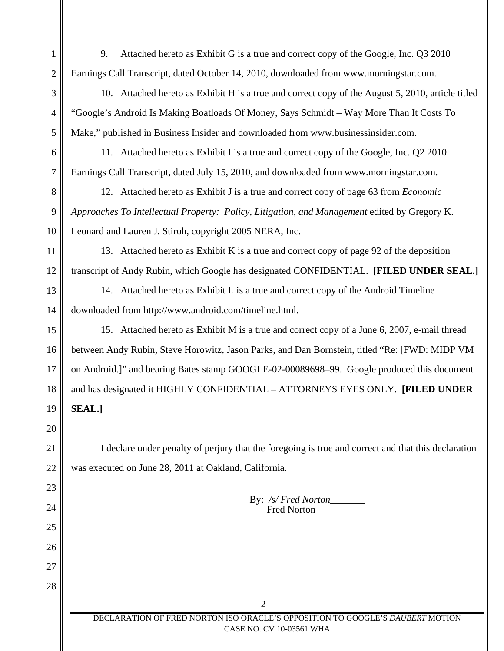9. Attached hereto as Exhibit G is a true and correct copy of the Google, Inc. Q3 2010 Earnings Call Transcript, dated October 14, 2010, downloaded from www.morningstar.com.

10. Attached hereto as Exhibit H is a true and correct copy of the August 5, 2010, article titled "Google's Android Is Making Boatloads Of Money, Says Schmidt – Way More Than It Costs To Make," published in Business Insider and downloaded from www.businessinsider.com.

11. Attached hereto as Exhibit I is a true and correct copy of the Google, Inc. Q2 2010 Earnings Call Transcript, dated July 15, 2010, and downloaded from www.morningstar.com.

12. Attached hereto as Exhibit J is a true and correct copy of page 63 from *Economic Approaches To Intellectual Property: Policy, Litigation, and Management* edited by Gregory K. Leonard and Lauren J. Stiroh, copyright 2005 NERA, Inc.

13. Attached hereto as Exhibit K is a true and correct copy of page 92 of the deposition transcript of Andy Rubin, which Google has designated CONFIDENTIAL. **[FILED UNDER SEAL.]**

14. Attached hereto as Exhibit L is a true and correct copy of the Android Timeline downloaded from http://www.android.com/timeline.html.

15 16 17 18 19 15. Attached hereto as Exhibit M is a true and correct copy of a June 6, 2007, e-mail thread between Andy Rubin, Steve Horowitz, Jason Parks, and Dan Bornstein, titled "Re: [FWD: MIDP VM on Android.]" and bearing Bates stamp GOOGLE-02-00089698–99. Google produced this document and has designated it HIGHLY CONFIDENTIAL – ATTORNEYS EYES ONLY. **[FILED UNDER SEAL.]**

20

21

22

23

24

25

26

27

28

1

2

3

4

5

6

7

8

9

10

11

12

13

14

I declare under penalty of perjury that the foregoing is true and correct and that this declaration was executed on June 28, 2011 at Oakland, California.

> By: */s/ Fred Norton\_\_\_\_\_\_\_* Fred Norton

2